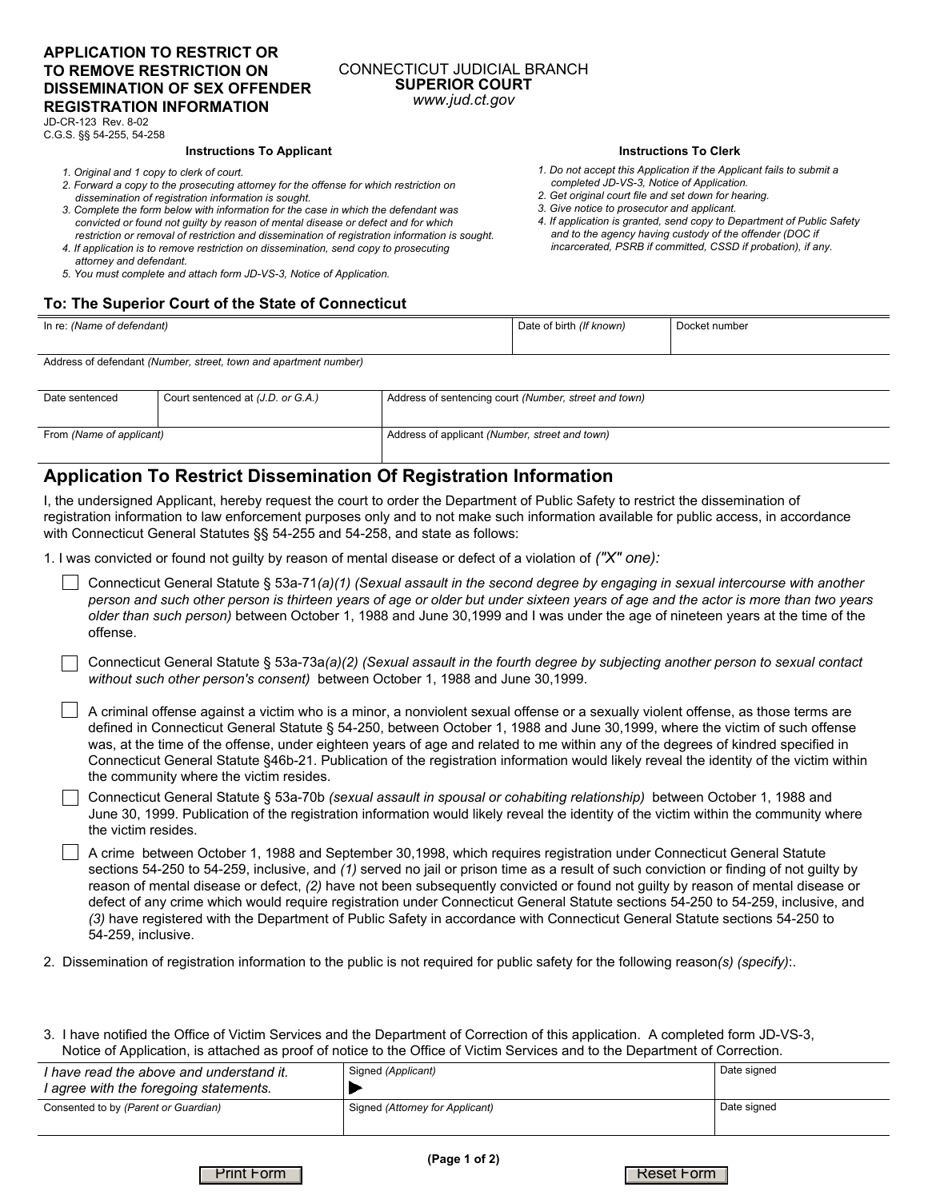## **APPLICATION TO RESTRICT OR TO REMOVE RESTRICTION ON DISSEMINATION OF SEX OFFENDER REGISTRATION INFORMATION**

### CONNECTICUT JUDICIAL BRANCH **SUPERIOR COURT**  *www.jud.ct.gov*

JD-CR-123 Rev. 8-02 C.G.S. §§ 54-255, 54-258

### **Instructions To Applicant**

- *1. Original and 1 copy to clerk of court.*
- *2. Forward a copy to the prosecuting attorney for the offense for which restriction on dissemination of registration information is sought.*
- *3. Complete the form below with information for the case in which the defendant was convicted or found not guilty by reason of mental disease or defect and for which restriction or removal of restriction and dissemination of registration information is sought.*
- *4. If application is to remove restriction on dissemination, send copy to prosecuting attorney and defendant.*
- *5. You must complete and attach form JD-VS-3, Notice of Application.*

# **To: The Superior Court of the State of Connecticut**

#### **Instructions To Clerk**

- *1. Do not accept this Application if the Applicant fails to submit a completed JD-VS-3, Notice of Application.*
- *2. Get original court file and set down for hearing.*
- *3. Give notice to prosecutor and applicant.*
- *4. If application is granted, send copy to Department of Public Safety and to the agency having custody of the offender (DOC if incarcerated, PSRB if committed, CSSD if probation), if any.*

| In re: (Name of defendant)                                       | Date of birth (If known) | Docket number |
|------------------------------------------------------------------|--------------------------|---------------|
| Address of defendant (Number, street, town and apartment number) |                          |               |

| Date sentenced           | Court sentenced at (J.D. or G.A.) | Address of sentencing court (Number, street and town) |
|--------------------------|-----------------------------------|-------------------------------------------------------|
| From (Name of applicant) |                                   | Address of applicant (Number, street and town)        |

## **Application To Restrict Dissemination Of Registration Information**

I, the undersigned Applicant, hereby request the court to order the Department of Public Safety to restrict the dissemination of registration information to law enforcement purposes only and to not make such information available for public access, in accordance with Connecticut General Statutes §§ 54-255 and 54-258, and state as follows:

1. I was convicted or found not guilty by reason of mental disease or defect of a violation of *("X" one):*

- Connecticut General Statute § 53a-71*(a)(1) (Sexual assault in the second degree by engaging in sexual intercourse with another person and such other person is thirteen years of age or older but under sixteen years of age and the actor is more than two years older than such person)* between October 1, 1988 and June 30,1999 and I was under the age of nineteen years at the time of the offense.
- Connecticut General Statute § 53a-73a*(a)(2) (Sexual assault in the fourth degree by subjecting another person to sexual contact without such other person's consent)* between October 1, 1988 and June 30,1999.
- $\Box$  A criminal offense against a victim who is a minor, a nonviolent sexual offense or a sexually violent offense, as those terms are defined in Connecticut General Statute § 54-250, between October 1, 1988 and June 30,1999, where the victim of such offense was, at the time of the offense, under eighteen years of age and related to me within any of the degrees of kindred specified in Connecticut General Statute §46b-21. Publication of the registration information would likely reveal the identity of the victim within the community where the victim resides.
- Connecticut General Statute § 53a-70b *(sexual assault in spousal or cohabiting relationship)* between October 1, 1988 and June 30, 1999. Publication of the registration information would likely reveal the identity of the victim within the community where the victim resides.
- A crime between October 1, 1988 and September 30,1998, which requires registration under Connecticut General Statute sections 54-250 to 54-259, inclusive, and *(1)* served no jail or prison time as a result of such conviction or finding of not guilty by reason of mental disease or defect, *(2)* have not been subsequently convicted or found not guilty by reason of mental disease or defect of any crime which would require registration under Connecticut General Statute sections 54-250 to 54-259, inclusive, and *(3)* have registered with the Department of Public Safety in accordance with Connecticut General Statute sections 54-250 to 54-259, inclusive.
- 2. Dissemination of registration information to the public is not required for public safety for the following reason*(s) (specify)*:.
- 3. I have notified the Office of Victim Services and the Department of Correction of this application. A completed form JD-VS-3, Notice of Application, is attached as proof of notice to the Office of Victim Services and to the Department of Correction.

| I have read the above and understand it.<br>I agree with the foregoing statements. | Signed (Applicant)              | Date signed |
|------------------------------------------------------------------------------------|---------------------------------|-------------|
| Consented to by (Parent or Guardian)                                               | Signed (Attorney for Applicant) | Date signed |

Print Form | Reset Form | Reset Form | Reset Form | Reset Form | Reset Form | Reset Form | Reset Form | Reset Form |  $R$